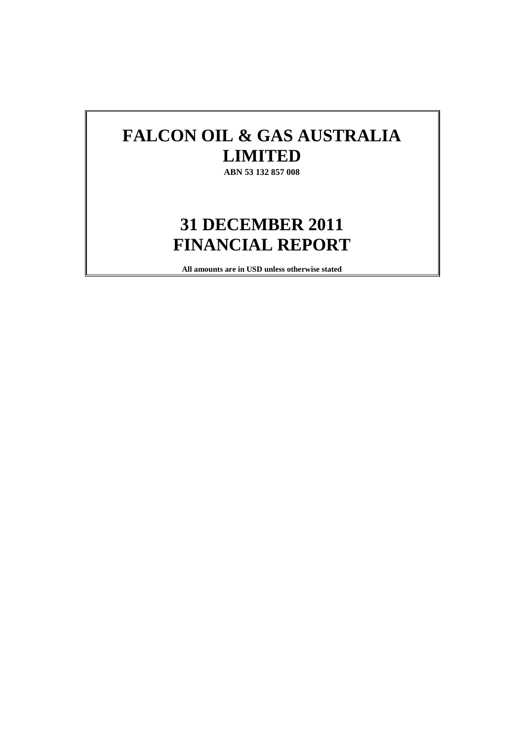**ABN 53 132 857 008**

# **31 DECEMBER 2011 FINANCIAL REPORT**

**All amounts are in USD unless otherwise stated**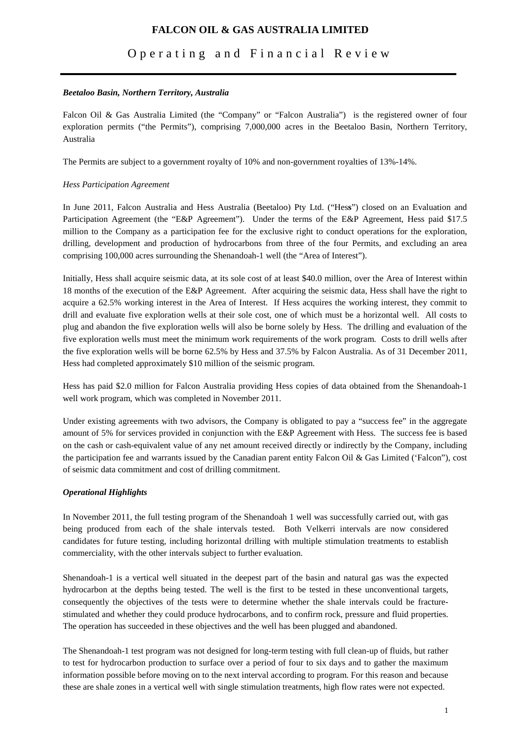### *Beetaloo Basin, Northern Territory, Australia*

Falcon Oil & Gas Australia Limited (the "Company" or "Falcon Australia") is the registered owner of four exploration permits ("the Permits"), comprising 7,000,000 acres in the Beetaloo Basin, Northern Territory, Australia

The Permits are subject to a government royalty of 10% and non-government royalties of 13%-14%.

### *Hess Participation Agreement*

In June 2011, Falcon Australia and Hess Australia (Beetaloo) Pty Ltd. ("Hes**s**") closed on an Evaluation and Participation Agreement (the "E&P Agreement"). Under the terms of the E&P Agreement, Hess paid \$17.5 million to the Company as a participation fee for the exclusive right to conduct operations for the exploration, drilling, development and production of hydrocarbons from three of the four Permits, and excluding an area comprising 100,000 acres surrounding the Shenandoah-1 well (the "Area of Interest").

Initially, Hess shall acquire seismic data, at its sole cost of at least \$40.0 million, over the Area of Interest within 18 months of the execution of the E&P Agreement. After acquiring the seismic data, Hess shall have the right to acquire a 62.5% working interest in the Area of Interest. If Hess acquires the working interest, they commit to drill and evaluate five exploration wells at their sole cost, one of which must be a horizontal well. All costs to plug and abandon the five exploration wells will also be borne solely by Hess. The drilling and evaluation of the five exploration wells must meet the minimum work requirements of the work program. Costs to drill wells after the five exploration wells will be borne 62.5% by Hess and 37.5% by Falcon Australia. As of 31 December 2011, Hess had completed approximately \$10 million of the seismic program.

Hess has paid \$2.0 million for Falcon Australia providing Hess copies of data obtained from the Shenandoah-1 well work program, which was completed in November 2011.

Under existing agreements with two advisors, the Company is obligated to pay a "success fee" in the aggregate amount of 5% for services provided in conjunction with the E&P Agreement with Hess. The success fee is based on the cash or cash-equivalent value of any net amount received directly or indirectly by the Company, including the participation fee and warrants issued by the Canadian parent entity Falcon Oil & Gas Limited ('Falcon"), cost of seismic data commitment and cost of drilling commitment.

### *Operational Highlights*

In November 2011, the full testing program of the Shenandoah 1 well was successfully carried out, with gas being produced from each of the shale intervals tested. Both Velkerri intervals are now considered candidates for future testing, including horizontal drilling with multiple stimulation treatments to establish commerciality, with the other intervals subject to further evaluation.

Shenandoah-1 is a vertical well situated in the deepest part of the basin and natural gas was the expected hydrocarbon at the depths being tested. The well is the first to be tested in these unconventional targets, consequently the objectives of the tests were to determine whether the shale intervals could be fracturestimulated and whether they could produce hydrocarbons, and to confirm rock, pressure and fluid properties. The operation has succeeded in these objectives and the well has been plugged and abandoned.

The Shenandoah-1 test program was not designed for long-term testing with full clean-up of fluids, but rather to test for hydrocarbon production to surface over a period of four to six days and to gather the maximum information possible before moving on to the next interval according to program. For this reason and because these are shale zones in a vertical well with single stimulation treatments, high flow rates were not expected.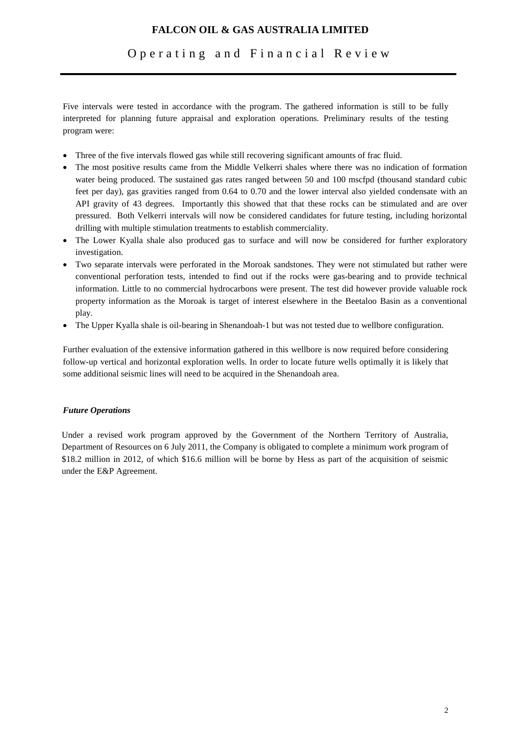Operating and Financial Review

Five intervals were tested in accordance with the program. The gathered information is still to be fully interpreted for planning future appraisal and exploration operations. Preliminary results of the testing program were:

- Three of the five intervals flowed gas while still recovering significant amounts of frac fluid.
- The most positive results came from the Middle Velkerri shales where there was no indication of formation water being produced. The sustained gas rates ranged between 50 and 100 mscfpd (thousand standard cubic feet per day), gas gravities ranged from 0.64 to 0.70 and the lower interval also yielded condensate with an API gravity of 43 degrees. Importantly this showed that that these rocks can be stimulated and are over pressured. Both Velkerri intervals will now be considered candidates for future testing, including horizontal drilling with multiple stimulation treatments to establish commerciality.
- The Lower Kyalla shale also produced gas to surface and will now be considered for further exploratory investigation.
- Two separate intervals were perforated in the Moroak sandstones. They were not stimulated but rather were conventional perforation tests, intended to find out if the rocks were gas-bearing and to provide technical information. Little to no commercial hydrocarbons were present. The test did however provide valuable rock property information as the Moroak is target of interest elsewhere in the Beetaloo Basin as a conventional play.
- The Upper Kyalla shale is oil-bearing in Shenandoah-1 but was not tested due to wellbore configuration.

Further evaluation of the extensive information gathered in this wellbore is now required before considering follow-up vertical and horizontal exploration wells. In order to locate future wells optimally it is likely that some additional seismic lines will need to be acquired in the Shenandoah area.

### *Future Operations*

Under a revised work program approved by the Government of the Northern Territory of Australia, Department of Resources on 6 July 2011, the Company is obligated to complete a minimum work program of \$18.2 million in 2012, of which \$16.6 million will be borne by Hess as part of the acquisition of seismic under the E&P Agreement.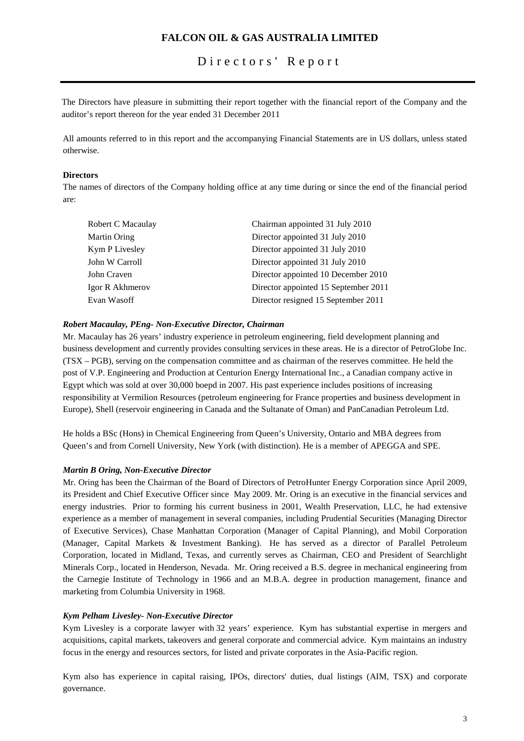Directors' Report

The Directors have pleasure in submitting their report together with the financial report of the Company and the auditor's report thereon for the year ended 31 December 2011

All amounts referred to in this report and the accompanying Financial Statements are in US dollars, unless stated otherwise.

### **Directors**

The names of directors of the Company holding office at any time during or since the end of the financial period are:

| Robert C Macaulay   | Chairman appointed 31 July 2010      |
|---------------------|--------------------------------------|
| <b>Martin Oring</b> | Director appointed 31 July 2010      |
| Kym P Livesley      | Director appointed 31 July 2010      |
| John W Carroll      | Director appointed 31 July 2010      |
| John Craven         | Director appointed 10 December 2010  |
| Igor R Akhmerov     | Director appointed 15 September 2011 |
| Evan Wasoff         | Director resigned 15 September 2011  |

#### *Robert Macaulay, PEng- Non-Executive Director, Chairman*

Mr. Macaulay has 26 years' industry experience in petroleum engineering, field development planning and business development and currently provides consulting services in these areas. He is a director of PetroGlobe Inc. (TSX – PGB), serving on the compensation committee and as chairman of the reserves committee. He held the post of V.P. Engineering and Production at Centurion Energy International Inc., a Canadian company active in Egypt which was sold at over 30,000 boepd in 2007. His past experience includes positions of increasing responsibility at Vermilion Resources (petroleum engineering for France properties and business development in Europe), Shell (reservoir engineering in Canada and the Sultanate of Oman) and PanCanadian Petroleum Ltd.

He holds a BSc (Hons) in Chemical Engineering from Queen's University, Ontario and MBA degrees from Queen's and from Cornell University, New York (with distinction). He is a member of APEGGA and SPE.

#### *Martin B Oring, Non-Executive Director*

Mr. Oring has been the Chairman of the Board of Directors of PetroHunter Energy Corporation since April 2009, its President and Chief Executive Officer since May 2009. Mr. Oring is an executive in the financial services and energy industries. Prior to forming his current business in 2001, Wealth Preservation, LLC, he had extensive experience as a member of management in several companies, including Prudential Securities (Managing Director of Executive Services), Chase Manhattan Corporation (Manager of Capital Planning), and Mobil Corporation (Manager, Capital Markets & Investment Banking). He has served as a director of Parallel Petroleum Corporation, located in Midland, Texas, and currently serves as Chairman, CEO and President of Searchlight Minerals Corp., located in Henderson, Nevada. Mr. Oring received a B.S. degree in mechanical engineering from the Carnegie Institute of Technology in 1966 and an M.B.A. degree in production management, finance and marketing from Columbia University in 1968.

### *Kym Pelham Livesley- Non-Executive Director*

Kym Livesley is a corporate lawyer with 32 years' experience. Kym has substantial expertise in mergers and acquisitions, capital markets, takeovers and general corporate and commercial advice. Kym maintains an industry focus in the energy and resources sectors, for listed and private corporates in the Asia-Pacific region.

Kym also has experience in capital raising, IPOs, directors' duties, dual listings (AIM, TSX) and corporate governance.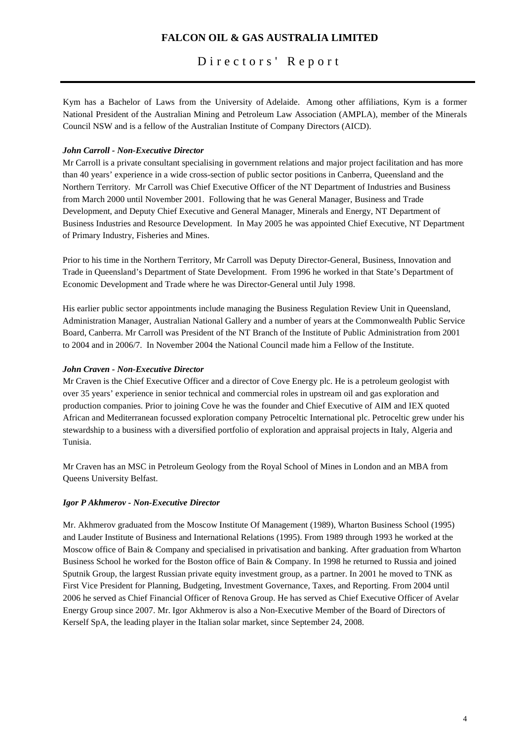Directors' Report

Kym has a Bachelor of Laws from the University of Adelaide. Among other affiliations, Kym is a former National President of the Australian Mining and Petroleum Law Association (AMPLA), member of the Minerals Council NSW and is a fellow of the Australian Institute of Company Directors (AICD).

### *John Carroll - Non-Executive Director*

Mr Carroll is a private consultant specialising in government relations and major project facilitation and has more than 40 years' experience in a wide cross-section of public sector positions in Canberra, Queensland and the Northern Territory. Mr Carroll was Chief Executive Officer of the NT Department of Industries and Business from March 2000 until November 2001. Following that he was General Manager, Business and Trade Development, and Deputy Chief Executive and General Manager, Minerals and Energy, NT Department of Business Industries and Resource Development. In May 2005 he was appointed Chief Executive, NT Department of Primary Industry, Fisheries and Mines.

Prior to his time in the Northern Territory, Mr Carroll was Deputy Director-General, Business, Innovation and Trade in Queensland's Department of State Development. From 1996 he worked in that State's Department of Economic Development and Trade where he was Director-General until July 1998.

His earlier public sector appointments include managing the Business Regulation Review Unit in Queensland, Administration Manager, Australian National Gallery and a number of years at the Commonwealth Public Service Board, Canberra. Mr Carroll was President of the NT Branch of the Institute of Public Administration from 2001 to 2004 and in 2006/7. In November 2004 the National Council made him a Fellow of the Institute.

### *John Craven - Non-Executive Director*

Mr Craven is the Chief Executive Officer and a director of Cove Energy plc. He is a petroleum geologist with over 35 years' experience in senior technical and commercial roles in upstream oil and gas exploration and production companies. Prior to joining Cove he was the founder and Chief Executive of AIM and IEX quoted African and Mediterranean focussed exploration company Petroceltic International plc. Petroceltic grew under his stewardship to a business with a diversified portfolio of exploration and appraisal projects in Italy, Algeria and Tunisia.

Mr Craven has an MSC in Petroleum Geology from the Royal School of Mines in London and an MBA from Queens University Belfast.

### *Igor P Akhmerov - Non-Executive Director*

Mr. Akhmerov graduated from the Moscow Institute Of Management (1989), Wharton Business School (1995) and Lauder Institute of Business and International Relations (1995). From 1989 through 1993 he worked at the Moscow office of Bain & Company and specialised in privatisation and banking. After graduation from Wharton Business School he worked for the Boston office of Bain & Company. In 1998 he returned to Russia and joined Sputnik Group, the largest Russian private equity investment group, as a partner. In 2001 he moved to TNK as First Vice President for Planning, Budgeting, Investment Governance, Taxes, and Reporting. From 2004 until 2006 he served as Chief Financial Officer of Renova Group. He has served as Chief Executive Officer of Avelar Energy Group since 2007. Mr. Igor Akhmerov is also a Non-Executive Member of the Board of Directors of Kerself SpA, the leading player in the Italian solar market, since September 24, 2008.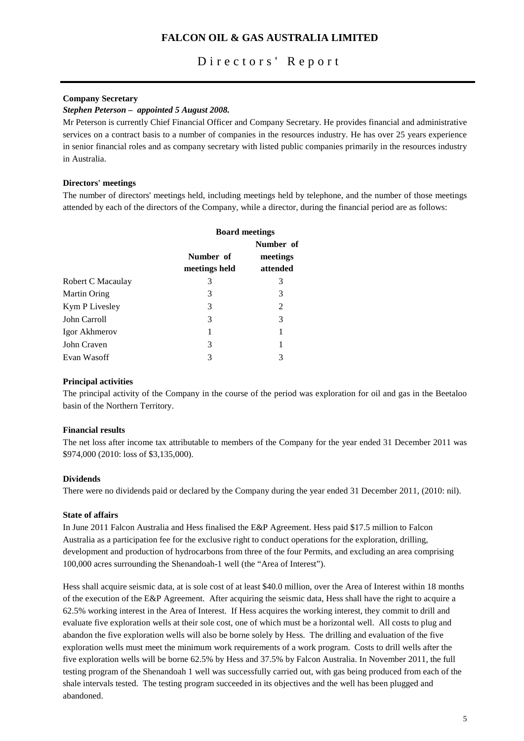Directors' Report

### **Company Secretary**

### *Stephen Peterson – appointed 5 August 2008.*

Mr Peterson is currently Chief Financial Officer and Company Secretary. He provides financial and administrative services on a contract basis to a number of companies in the resources industry. He has over 25 years experience in senior financial roles and as company secretary with listed public companies primarily in the resources industry in Australia.

#### **Directors' meetings**

The number of directors' meetings held, including meetings held by telephone, and the number of those meetings attended by each of the directors of the Company, while a director, during the financial period are as follows:

|                     | <b>Board meetings</b> |           |
|---------------------|-----------------------|-----------|
|                     |                       | Number of |
|                     | Number of             | meetings  |
|                     | meetings held         | attended  |
| Robert C Macaulay   | 3                     | 3         |
| <b>Martin Oring</b> | 3                     | 3         |
| Kym P Livesley      | 3                     | 2         |
| John Carroll        | 3                     | 3         |
| Igor Akhmerov       | 1                     |           |
| John Craven         | 3                     | 1         |
| Evan Wasoff         | 3                     | 3         |

#### **Principal activities**

The principal activity of the Company in the course of the period was exploration for oil and gas in the Beetaloo basin of the Northern Territory.

### **Financial results**

The net loss after income tax attributable to members of the Company for the year ended 31 December 2011 was \$974,000 (2010: loss of \$3,135,000).

#### **Dividends**

There were no dividends paid or declared by the Company during the year ended 31 December 2011, (2010: nil).

### **State of affairs**

In June 2011 Falcon Australia and Hess finalised the E&P Agreement. Hess paid \$17.5 million to Falcon Australia as a participation fee for the exclusive right to conduct operations for the exploration, drilling, development and production of hydrocarbons from three of the four Permits, and excluding an area comprising 100,000 acres surrounding the Shenandoah-1 well (the "Area of Interest").

Hess shall acquire seismic data, at is sole cost of at least \$40.0 million, over the Area of Interest within 18 months of the execution of the E&P Agreement. After acquiring the seismic data, Hess shall have the right to acquire a 62.5% working interest in the Area of Interest. If Hess acquires the working interest, they commit to drill and evaluate five exploration wells at their sole cost, one of which must be a horizontal well. All costs to plug and abandon the five exploration wells will also be borne solely by Hess. The drilling and evaluation of the five exploration wells must meet the minimum work requirements of a work program. Costs to drill wells after the five exploration wells will be borne 62.5% by Hess and 37.5% by Falcon Australia. In November 2011, the full testing program of the Shenandoah 1 well was successfully carried out, with gas being produced from each of the shale intervals tested. The testing program succeeded in its objectives and the well has been plugged and abandoned.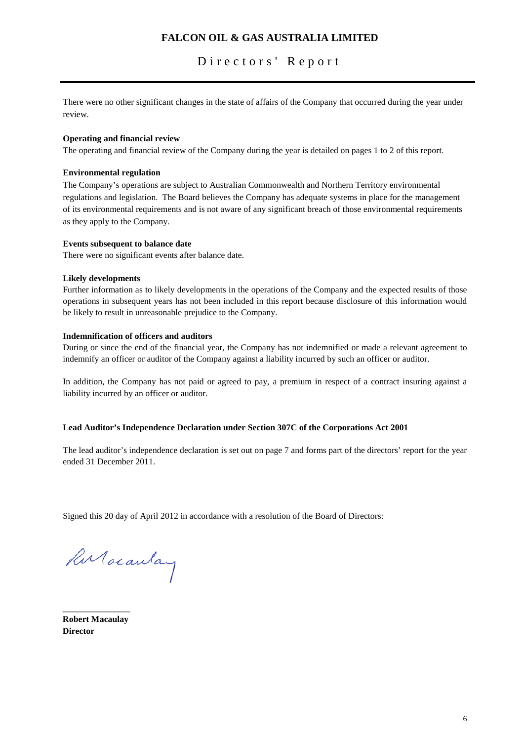Directors' Report

There were no other significant changes in the state of affairs of the Company that occurred during the year under review.

### **Operating and financial review**

The operating and financial review of the Company during the year is detailed on pages 1 to 2 of this report.

### **Environmental regulation**

The Company's operations are subject to Australian Commonwealth and Northern Territory environmental regulations and legislation. The Board believes the Company has adequate systems in place for the management of its environmental requirements and is not aware of any significant breach of those environmental requirements as they apply to the Company.

### **Events subsequent to balance date**

There were no significant events after balance date.

### **Likely developments**

Further information as to likely developments in the operations of the Company and the expected results of those operations in subsequent years has not been included in this report because disclosure of this information would be likely to result in unreasonable prejudice to the Company.

### **Indemnification of officers and auditors**

During or since the end of the financial year, the Company has not indemnified or made a relevant agreement to indemnify an officer or auditor of the Company against a liability incurred by such an officer or auditor.

In addition, the Company has not paid or agreed to pay, a premium in respect of a contract insuring against a liability incurred by an officer or auditor.

### **Lead Auditor's Independence Declaration under Section 307C of the Corporations Act 2001**

The lead auditor's independence declaration is set out on page 7 and forms part of the directors' report for the year ended 31 December 2011.

Signed this 20 day of April 2012 in accordance with a resolution of the Board of Directors:

Rutacaulay

**\_\_\_\_\_\_\_\_\_\_\_\_\_\_\_\_\_ Robert Macaulay Director**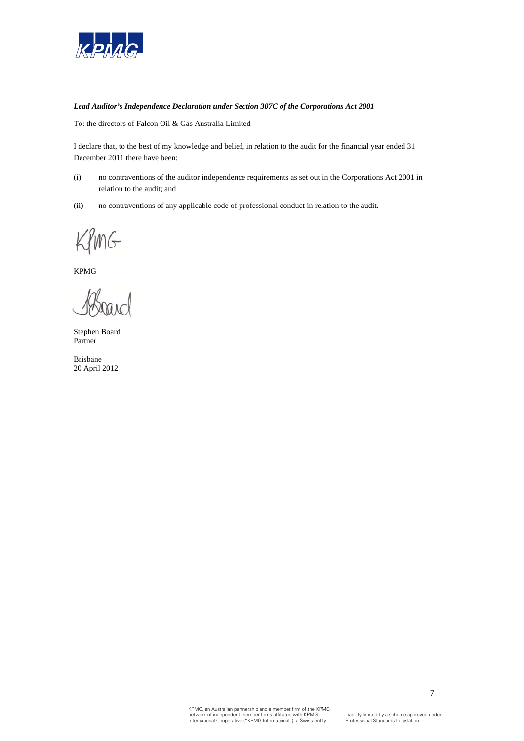

#### *Lead Auditor's Independence Declaration under Section 307C of the Corporations Act 2001*

To: the directors of Falcon Oil & Gas Australia Limited

I declare that, to the best of my knowledge and belief, in relation to the audit for the financial year ended 31 December 2011 there have been:

- (i) no contraventions of the auditor independence requirements as set out in the Corporations Act 2001 in relation to the audit; and
- (ii) no contraventions of any applicable code of professional conduct in relation to the audit.

KimG

KPMG

Stephen Board Partner

Brisbane 20 April 2012

> KPMG, an Australian partnership and a member firm of the KPMG network of independent member firms affiliated with KPMG International Cooperative ("KPMG International"), a Swiss entity.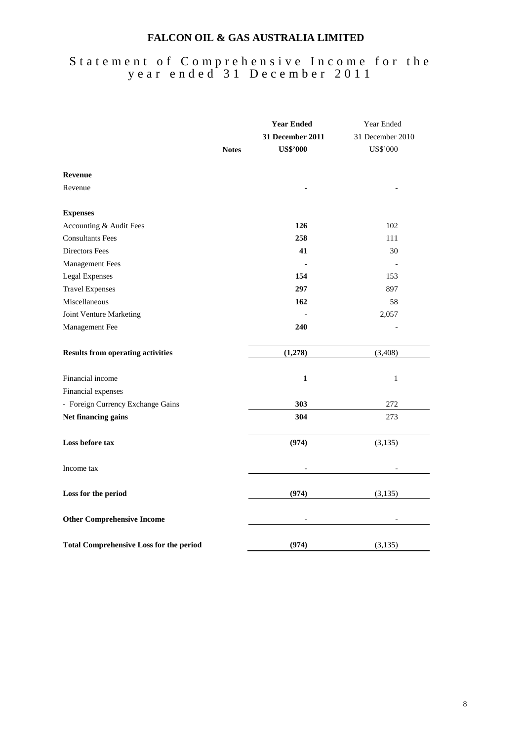# Statement of Comprehensive Income for the year ended 31 December 2011

|                                                |              | <b>Year Ended</b> | Year Ended       |
|------------------------------------------------|--------------|-------------------|------------------|
|                                                |              | 31 December 2011  | 31 December 2010 |
|                                                | <b>Notes</b> | <b>US\$'000</b>   | US\$'000         |
| <b>Revenue</b>                                 |              |                   |                  |
| Revenue                                        |              |                   |                  |
| <b>Expenses</b>                                |              |                   |                  |
| Accounting & Audit Fees                        |              | 126               | 102              |
| <b>Consultants Fees</b>                        |              | 258               | 111              |
| <b>Directors Fees</b>                          |              | 41                | 30               |
| <b>Management Fees</b>                         |              |                   |                  |
| <b>Legal Expenses</b>                          |              | 154               | 153              |
| <b>Travel Expenses</b>                         |              | 297               | 897              |
| Miscellaneous                                  |              | 162               | 58               |
| Joint Venture Marketing                        |              |                   | 2,057            |
| Management Fee                                 |              | 240               |                  |
| <b>Results from operating activities</b>       |              | (1,278)           | (3,408)          |
| Financial income                               |              | 1                 | $\mathbf{1}$     |
| Financial expenses                             |              |                   |                  |
| - Foreign Currency Exchange Gains              |              | 303               | 272              |
| Net financing gains                            |              | 304               | 273              |
| Loss before tax                                |              | (974)             | (3, 135)         |
| Income tax                                     |              |                   |                  |
| Loss for the period                            |              | (974)             | (3,135)          |
| <b>Other Comprehensive Income</b>              |              |                   |                  |
| <b>Total Comprehensive Loss for the period</b> |              | (974)             | (3, 135)         |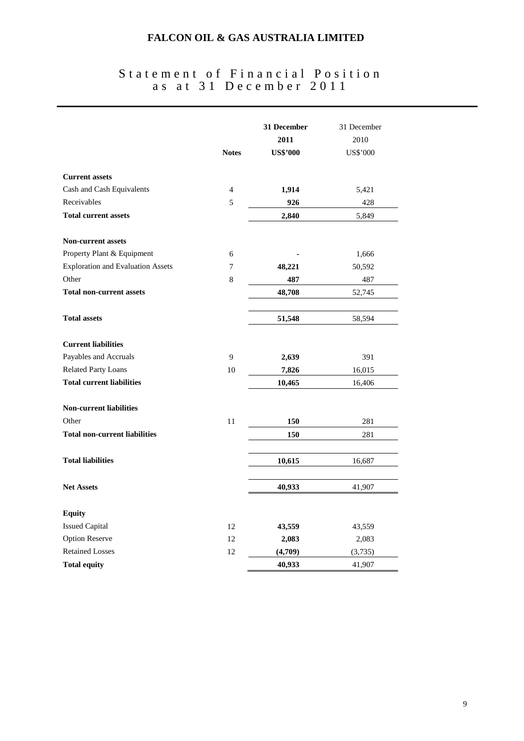# Statement of Financial Position as at 31 December 2011

|                                          |                | 31 December     | 31 December |
|------------------------------------------|----------------|-----------------|-------------|
|                                          |                | 2011            | 2010        |
|                                          | <b>Notes</b>   | <b>US\$'000</b> | US\$'000    |
| <b>Current assets</b>                    |                |                 |             |
| Cash and Cash Equivalents                | $\overline{4}$ | 1,914           | 5,421       |
| Receivables                              | 5              | 926             | 428         |
| <b>Total current assets</b>              |                | 2,840           | 5,849       |
| <b>Non-current assets</b>                |                |                 |             |
| Property Plant & Equipment               | 6              |                 | 1,666       |
| <b>Exploration and Evaluation Assets</b> | 7              | 48,221          | 50,592      |
| Other                                    | 8              | 487             | 487         |
| <b>Total non-current assets</b>          |                | 48,708          | 52,745      |
|                                          |                |                 |             |
| <b>Total assets</b>                      |                | 51,548          | 58,594      |
| <b>Current liabilities</b>               |                |                 |             |
| Payables and Accruals                    | 9              | 2,639           | 391         |
| <b>Related Party Loans</b>               | 10             | 7,826           | 16,015      |
| <b>Total current liabilities</b>         |                | 10,465          | 16,406      |
| <b>Non-current liabilities</b>           |                |                 |             |
| Other                                    | 11             | 150             | 281         |
| <b>Total non-current liabilities</b>     |                | 150             | 281         |
|                                          |                |                 |             |
| <b>Total liabilities</b>                 |                | 10,615          | 16,687      |
| <b>Net Assets</b>                        |                | 40,933          | 41,907      |
|                                          |                |                 |             |
| <b>Equity</b>                            |                |                 |             |
| <b>Issued Capital</b>                    | 12             | 43,559          | 43,559      |
| <b>Option Reserve</b>                    | 12             | 2,083           | 2,083       |
| <b>Retained Losses</b>                   | 12             | (4,709)         | (3,735)     |
| <b>Total equity</b>                      |                | 40,933          | 41,907      |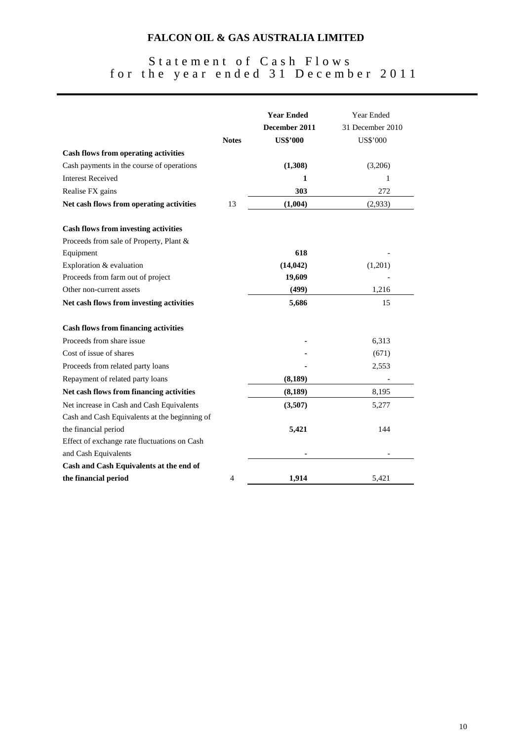# Statement of Cash Flows for the year ended 31 December 2011

|                                               |              | <b>Year Ended</b> | Year Ended       |
|-----------------------------------------------|--------------|-------------------|------------------|
|                                               |              | December 2011     | 31 December 2010 |
|                                               | <b>Notes</b> | <b>US\$'000</b>   | <b>US\$'000</b>  |
| <b>Cash flows from operating activities</b>   |              |                   |                  |
| Cash payments in the course of operations     |              | (1,308)           | (3,206)          |
| <b>Interest Received</b>                      |              | 1                 | 1                |
| Realise FX gains                              |              | 303               | 272              |
| Net cash flows from operating activities      | 13           | (1,004)           | (2,933)          |
| <b>Cash flows from investing activities</b>   |              |                   |                  |
| Proceeds from sale of Property, Plant &       |              |                   |                  |
| Equipment                                     |              | 618               |                  |
| Exploration & evaluation                      |              | (14, 042)         | (1,201)          |
| Proceeds from farm out of project             |              | 19,609            |                  |
| Other non-current assets                      |              | (499)             | 1,216            |
| Net cash flows from investing activities      |              | 5,686             | 15               |
| <b>Cash flows from financing activities</b>   |              |                   |                  |
| Proceeds from share issue                     |              |                   | 6,313            |
| Cost of issue of shares                       |              |                   | (671)            |
| Proceeds from related party loans             |              |                   | 2,553            |
| Repayment of related party loans              |              | (8,189)           |                  |
| Net cash flows from financing activities      |              | (8, 189)          | 8,195            |
| Net increase in Cash and Cash Equivalents     |              | (3,507)           | 5,277            |
| Cash and Cash Equivalents at the beginning of |              |                   |                  |
| the financial period                          |              | 5,421             | 144              |
| Effect of exchange rate fluctuations on Cash  |              |                   |                  |
| and Cash Equivalents                          |              |                   |                  |
| Cash and Cash Equivalents at the end of       |              |                   |                  |
| the financial period                          | 4            | 1,914             | 5,421            |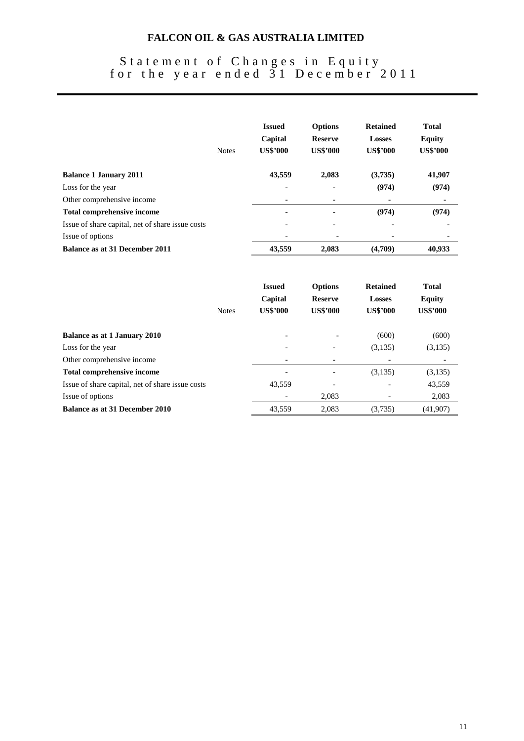# Statement of Changes in Equity for the year ended 31 December 2011

|                                                  | <b>Notes</b> | <b>Issued</b><br>Capital<br><b>US\$'000</b> | <b>Options</b><br><b>Reserve</b><br><b>US\$'000</b> | <b>Retained</b><br><b>Losses</b><br><b>US\$'000</b> | <b>Total</b><br><b>Equity</b><br><b>US\$'000</b> |
|--------------------------------------------------|--------------|---------------------------------------------|-----------------------------------------------------|-----------------------------------------------------|--------------------------------------------------|
| <b>Balance 1 January 2011</b>                    |              | 43,559                                      | 2,083                                               | (3,735)                                             | 41,907                                           |
| Loss for the year                                |              | $\overline{\phantom{0}}$                    |                                                     | (974)                                               | (974)                                            |
| Other comprehensive income                       |              |                                             |                                                     |                                                     |                                                  |
| <b>Total comprehensive income</b>                |              |                                             |                                                     | (974)                                               | (974)                                            |
| Issue of share capital, net of share issue costs |              | $\overline{\phantom{a}}$                    | $\overline{\phantom{a}}$                            |                                                     |                                                  |
| Issue of options                                 |              | $\overline{\phantom{a}}$                    | ۰                                                   | ٠                                                   | ٠                                                |
| Balance as at 31 December 2011                   |              | 43.559                                      | 2.083                                               | (4.709)                                             | 40.933                                           |

|                                                  |              | <b>Issued</b>   | <b>Options</b>  | <b>Retained</b> | <b>Total</b>    |
|--------------------------------------------------|--------------|-----------------|-----------------|-----------------|-----------------|
|                                                  |              | Capital         | <b>Reserve</b>  | <b>Losses</b>   | <b>Equity</b>   |
|                                                  | <b>Notes</b> | <b>US\$'000</b> | <b>US\$'000</b> | <b>US\$'000</b> | <b>US\$'000</b> |
| Balance as at 1 January 2010                     |              |                 |                 | (600)           | (600)           |
| Loss for the year                                |              | $\overline{a}$  |                 | (3,135)         | (3,135)         |
| Other comprehensive income                       |              |                 |                 |                 |                 |
| Total comprehensive income                       |              | -               |                 | (3,135)         | (3,135)         |
| Issue of share capital, net of share issue costs |              | 43.559          |                 |                 | 43,559          |
| Issue of options                                 |              |                 | 2,083           |                 | 2,083           |
| <b>Balance as at 31 December 2010</b>            |              | 43.559          | 2.083           | (3.735)         | (41.907)        |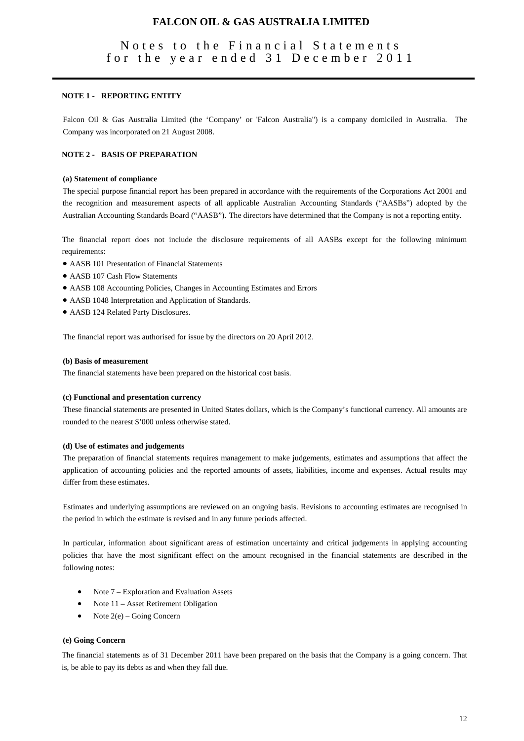## Notes to the Financial Statements for the year ended 31 December 2011

#### **NOTE 1 - REPORTING ENTITY**

Falcon Oil & Gas Australia Limited (the 'Company' or 'Falcon Australia") is a company domiciled in Australia. The Company was incorporated on 21 August 2008.

### **NOTE 2 - BASIS OF PREPARATION**

#### **(a) Statement of compliance**

The special purpose financial report has been prepared in accordance with the requirements of the Corporations Act 2001 and the recognition and measurement aspects of all applicable Australian Accounting Standards ("AASBs") adopted by the Australian Accounting Standards Board ("AASB"). The directors have determined that the Company is not a reporting entity.

The financial report does not include the disclosure requirements of all AASBs except for the following minimum requirements:

- AASB 101 Presentation of Financial Statements
- AASB 107 Cash Flow Statements
- AASB 108 Accounting Policies, Changes in Accounting Estimates and Errors
- AASB 1048 Interpretation and Application of Standards.
- AASB 124 Related Party Disclosures.

The financial report was authorised for issue by the directors on 20 April 2012.

#### **(b) Basis of measurement**

The financial statements have been prepared on the historical cost basis.

#### **(c) Functional and presentation currency**

These financial statements are presented in United States dollars, which is the Company's functional currency. All amounts are rounded to the nearest \$'000 unless otherwise stated.

#### **(d) Use of estimates and judgements**

The preparation of financial statements requires management to make judgements, estimates and assumptions that affect the application of accounting policies and the reported amounts of assets, liabilities, income and expenses. Actual results may differ from these estimates.

Estimates and underlying assumptions are reviewed on an ongoing basis. Revisions to accounting estimates are recognised in the period in which the estimate is revised and in any future periods affected.

In particular, information about significant areas of estimation uncertainty and critical judgements in applying accounting policies that have the most significant effect on the amount recognised in the financial statements are described in the following notes:

- Note 7 Exploration and Evaluation Assets
- Note 11 Asset Retirement Obligation
- Note  $2(e)$  Going Concern

#### **(e) Going Concern**

The financial statements as of 31 December 2011 have been prepared on the basis that the Company is a going concern. That is, be able to pay its debts as and when they fall due.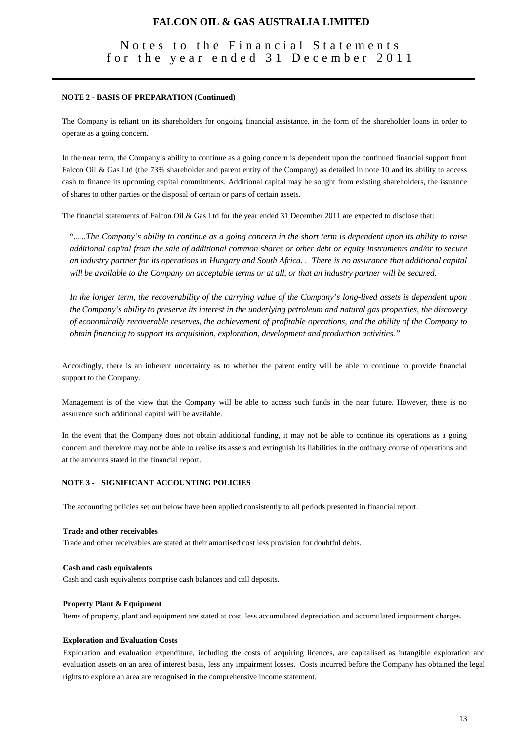### Notes to the Financial Statements for the year ended 31 December 2011

#### **NOTE 2 - BASIS OF PREPARATION (Continued)**

The Company is reliant on its shareholders for ongoing financial assistance, in the form of the shareholder loans in order to operate as a going concern.

In the near term, the Company's ability to continue as a going concern is dependent upon the continued financial support from Falcon Oil & Gas Ltd (the 73% shareholder and parent entity of the Company) as detailed in note 10 and its ability to access cash to finance its upcoming capital commitments. Additional capital may be sought from existing shareholders, the issuance of shares to other parties or the disposal of certain or parts of certain assets.

The financial statements of Falcon Oil & Gas Ltd for the year ended 31 December 2011 are expected to disclose that:

"......*The Company's ability to continue as a going concern in the short term is dependent upon its ability to raise additional capital from the sale of additional common shares or other debt or equity instruments and/or to secure an industry partner for its operations in Hungary and South Africa. . There is no assurance that additional capital will be available to the Company on acceptable terms or at all, or that an industry partner will be secured.*

*In the longer term, the recoverability of the carrying value of the Company's long-lived assets is dependent upon the Company's ability to preserve its interest in the underlying petroleum and natural gas properties, the discovery of economically recoverable reserves, the achievement of profitable operations, and the ability of the Company to obtain financing to support its acquisition, exploration, development and production activities."*

Accordingly, there is an inherent uncertainty as to whether the parent entity will be able to continue to provide financial support to the Company.

Management is of the view that the Company will be able to access such funds in the near future. However, there is no assurance such additional capital will be available.

In the event that the Company does not obtain additional funding, it may not be able to continue its operations as a going concern and therefore may not be able to realise its assets and extinguish its liabilities in the ordinary course of operations and at the amounts stated in the financial report.

#### **NOTE 3 - SIGNIFICANT ACCOUNTING POLICIES**

The accounting policies set out below have been applied consistently to all periods presented in financial report.

#### **Trade and other receivables**

Trade and other receivables are stated at their amortised cost less provision for doubtful debts.

#### **Cash and cash equivalents**

Cash and cash equivalents comprise cash balances and call deposits.

#### **Property Plant & Equipment**

Items of property, plant and equipment are stated at cost, less accumulated depreciation and accumulated impairment charges.

#### **Exploration and Evaluation Costs**

Exploration and evaluation expenditure, including the costs of acquiring licences, are capitalised as intangible exploration and evaluation assets on an area of interest basis, less any impairment losses. Costs incurred before the Company has obtained the legal rights to explore an area are recognised in the comprehensive income statement.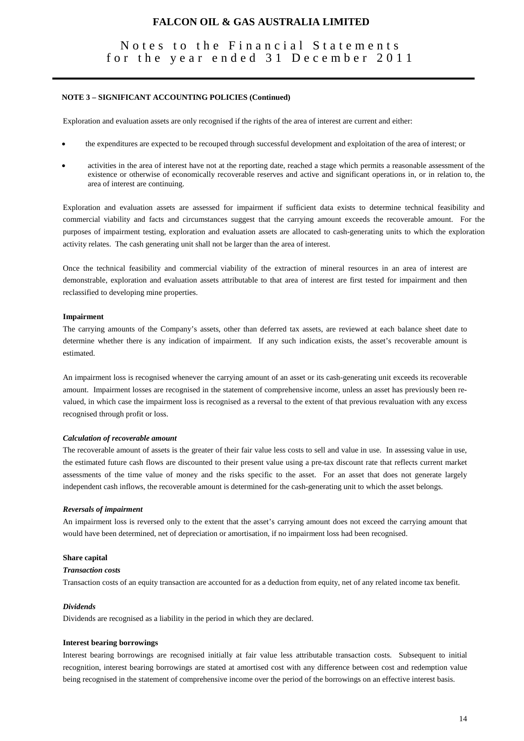## Notes to the Financial Statements for the year ended 31 December 2011

#### **NOTE 3 – SIGNIFICANT ACCOUNTING POLICIES (Continued)**

Exploration and evaluation assets are only recognised if the rights of the area of interest are current and either:

- the expenditures are expected to be recouped through successful development and exploitation of the area of interest; or
- activities in the area of interest have not at the reporting date, reached a stage which permits a reasonable assessment of the existence or otherwise of economically recoverable reserves and active and significant operations in, or in relation to, the area of interest are continuing.

Exploration and evaluation assets are assessed for impairment if sufficient data exists to determine technical feasibility and commercial viability and facts and circumstances suggest that the carrying amount exceeds the recoverable amount. For the purposes of impairment testing, exploration and evaluation assets are allocated to cash-generating units to which the exploration activity relates. The cash generating unit shall not be larger than the area of interest.

Once the technical feasibility and commercial viability of the extraction of mineral resources in an area of interest are demonstrable, exploration and evaluation assets attributable to that area of interest are first tested for impairment and then reclassified to developing mine properties.

#### **Impairment**

The carrying amounts of the Company's assets, other than deferred tax assets, are reviewed at each balance sheet date to determine whether there is any indication of impairment. If any such indication exists, the asset's recoverable amount is estimated.

An impairment loss is recognised whenever the carrying amount of an asset or its cash-generating unit exceeds its recoverable amount. Impairment losses are recognised in the statement of comprehensive income, unless an asset has previously been revalued, in which case the impairment loss is recognised as a reversal to the extent of that previous revaluation with any excess recognised through profit or loss.

#### *Calculation of recoverable amount*

The recoverable amount of assets is the greater of their fair value less costs to sell and value in use. In assessing value in use, the estimated future cash flows are discounted to their present value using a pre-tax discount rate that reflects current market assessments of the time value of money and the risks specific to the asset. For an asset that does not generate largely independent cash inflows, the recoverable amount is determined for the cash-generating unit to which the asset belongs.

#### *Reversals of impairment*

An impairment loss is reversed only to the extent that the asset's carrying amount does not exceed the carrying amount that would have been determined, net of depreciation or amortisation, if no impairment loss had been recognised.

#### **Share capital**

#### *Transaction costs*

Transaction costs of an equity transaction are accounted for as a deduction from equity, net of any related income tax benefit.

#### *Dividends*

Dividends are recognised as a liability in the period in which they are declared.

#### **Interest bearing borrowings**

Interest bearing borrowings are recognised initially at fair value less attributable transaction costs. Subsequent to initial recognition, interest bearing borrowings are stated at amortised cost with any difference between cost and redemption value being recognised in the statement of comprehensive income over the period of the borrowings on an effective interest basis.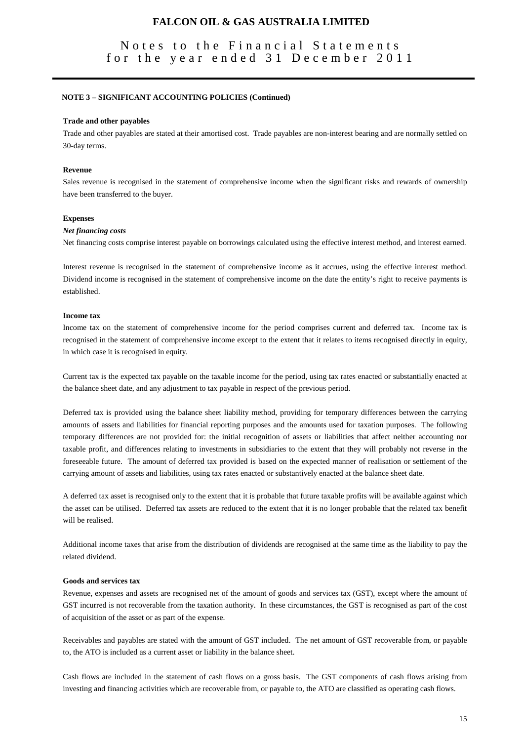### Notes to the Financial Statements for the year ended 31 December 2011

#### **NOTE 3 – SIGNIFICANT ACCOUNTING POLICIES (Continued)**

#### **Trade and other payables**

Trade and other payables are stated at their amortised cost. Trade payables are non-interest bearing and are normally settled on 30-day terms.

#### **Revenue**

Sales revenue is recognised in the statement of comprehensive income when the significant risks and rewards of ownership have been transferred to the buyer.

#### **Expenses**

#### *Net financing costs*

Net financing costs comprise interest payable on borrowings calculated using the effective interest method, and interest earned.

Interest revenue is recognised in the statement of comprehensive income as it accrues, using the effective interest method. Dividend income is recognised in the statement of comprehensive income on the date the entity's right to receive payments is established.

#### **Income tax**

Income tax on the statement of comprehensive income for the period comprises current and deferred tax. Income tax is recognised in the statement of comprehensive income except to the extent that it relates to items recognised directly in equity, in which case it is recognised in equity.

Current tax is the expected tax payable on the taxable income for the period, using tax rates enacted or substantially enacted at the balance sheet date, and any adjustment to tax payable in respect of the previous period.

Deferred tax is provided using the balance sheet liability method, providing for temporary differences between the carrying amounts of assets and liabilities for financial reporting purposes and the amounts used for taxation purposes. The following temporary differences are not provided for: the initial recognition of assets or liabilities that affect neither accounting nor taxable profit, and differences relating to investments in subsidiaries to the extent that they will probably not reverse in the foreseeable future. The amount of deferred tax provided is based on the expected manner of realisation or settlement of the carrying amount of assets and liabilities, using tax rates enacted or substantively enacted at the balance sheet date.

A deferred tax asset is recognised only to the extent that it is probable that future taxable profits will be available against which the asset can be utilised. Deferred tax assets are reduced to the extent that it is no longer probable that the related tax benefit will be realised.

Additional income taxes that arise from the distribution of dividends are recognised at the same time as the liability to pay the related dividend.

#### **Goods and services tax**

Revenue, expenses and assets are recognised net of the amount of goods and services tax (GST), except where the amount of GST incurred is not recoverable from the taxation authority. In these circumstances, the GST is recognised as part of the cost of acquisition of the asset or as part of the expense.

Receivables and payables are stated with the amount of GST included. The net amount of GST recoverable from, or payable to, the ATO is included as a current asset or liability in the balance sheet.

Cash flows are included in the statement of cash flows on a gross basis. The GST components of cash flows arising from investing and financing activities which are recoverable from, or payable to, the ATO are classified as operating cash flows.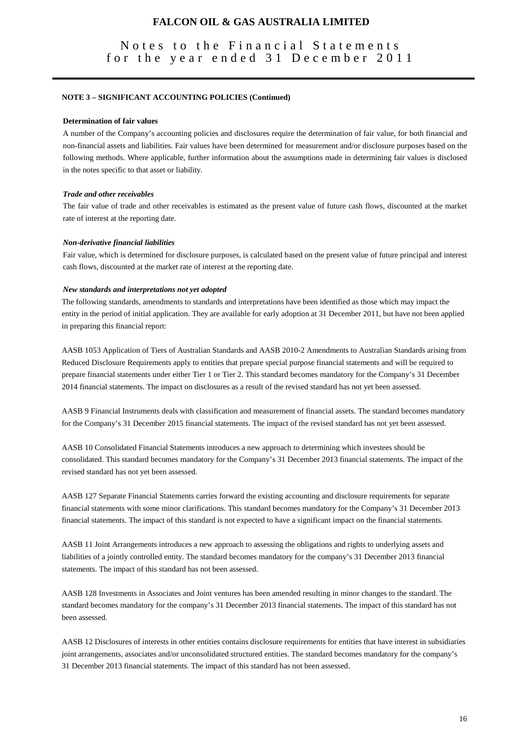### Notes to the Financial Statements for the year ended 31 December 2011

#### **NOTE 3 – SIGNIFICANT ACCOUNTING POLICIES (Continued)**

#### **Determination of fair values**

A number of the Company's accounting policies and disclosures require the determination of fair value, for both financial and non-financial assets and liabilities. Fair values have been determined for measurement and/or disclosure purposes based on the following methods. Where applicable, further information about the assumptions made in determining fair values is disclosed in the notes specific to that asset or liability.

#### *Trade and other receivables*

The fair value of trade and other receivables is estimated as the present value of future cash flows, discounted at the market rate of interest at the reporting date.

#### *Non-derivative financial liabilities*

Fair value, which is determined for disclosure purposes, is calculated based on the present value of future principal and interest cash flows, discounted at the market rate of interest at the reporting date.

#### *New standards and interpretations not yet adopted*

The following standards, amendments to standards and interpretations have been identified as those which may impact the entity in the period of initial application. They are available for early adoption at 31 December 2011, but have not been applied in preparing this financial report:

AASB 1053 Application of Tiers of Australian Standards and AASB 2010-2 Amendments to Australian Standards arising from Reduced Disclosure Requirements apply to entities that prepare special purpose financial statements and will be required to prepare financial statements under either Tier 1 or Tier 2. This standard becomes mandatory for the Company's 31 December 2014 financial statements. The impact on disclosures as a result of the revised standard has not yet been assessed.

AASB 9 Financial Instruments deals with classification and measurement of financial assets. The standard becomes mandatory for the Company's 31 December 2015 financial statements. The impact of the revised standard has not yet been assessed.

AASB 10 Consolidated Financial Statements introduces a new approach to determining which investees should be consolidated. This standard becomes mandatory for the Company's 31 December 2013 financial statements. The impact of the revised standard has not yet been assessed.

AASB 127 Separate Financial Statements carries forward the existing accounting and disclosure requirements for separate financial statements with some minor clarifications. This standard becomes mandatory for the Company's 31 December 2013 financial statements. The impact of this standard is not expected to have a significant impact on the financial statements.

AASB 11 Joint Arrangements introduces a new approach to assessing the obligations and rights to underlying assets and liabilities of a jointly controlled entity. The standard becomes mandatory for the company's 31 December 2013 financial statements. The impact of this standard has not been assessed.

AASB 128 Investments in Associates and Joint ventures has been amended resulting in minor changes to the standard. The standard becomes mandatory for the company's 31 December 2013 financial statements. The impact of this standard has not been assessed.

AASB 12 Disclosures of interests in other entities contains disclosure requirements for entities that have interest in subsidiaries joint arrangements, associates and/or unconsolidated structured entities. The standard becomes mandatory for the company's 31 December 2013 financial statements. The impact of this standard has not been assessed.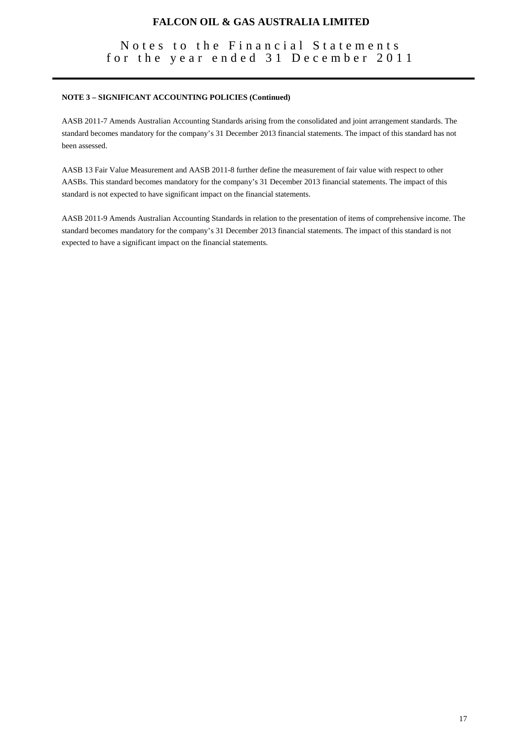# Notes to the Financial Statements for the year ended 31 December 2011

### **NOTE 3 – SIGNIFICANT ACCOUNTING POLICIES (Continued)**

AASB 2011-7 Amends Australian Accounting Standards arising from the consolidated and joint arrangement standards. The standard becomes mandatory for the company's 31 December 2013 financial statements. The impact of this standard has not been assessed.

AASB 13 Fair Value Measurement and AASB 2011-8 further define the measurement of fair value with respect to other AASBs. This standard becomes mandatory for the company's 31 December 2013 financial statements. The impact of this standard is not expected to have significant impact on the financial statements.

AASB 2011-9 Amends Australian Accounting Standards in relation to the presentation of items of comprehensive income. The standard becomes mandatory for the company's 31 December 2013 financial statements. The impact of this standard is not expected to have a significant impact on the financial statements.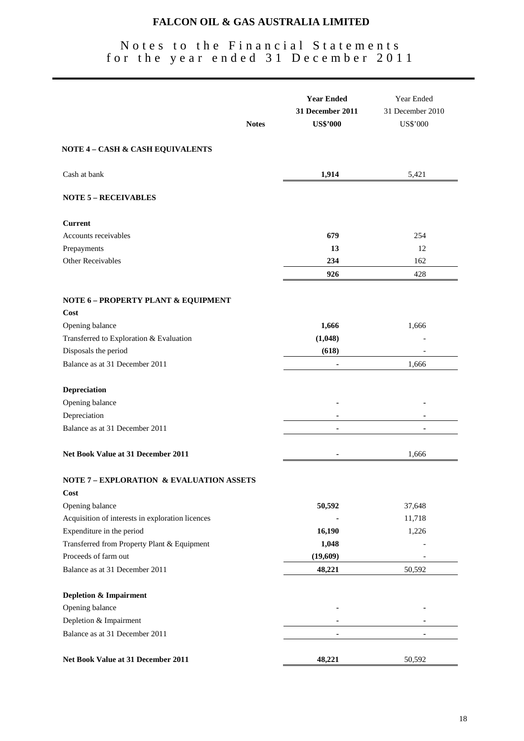# Notes to the Financial Statements for the year ended 31 December 2011

|                                                     | <b>Year Ended</b><br>31 December 2011 | Year Ended<br>31 December 2010 |
|-----------------------------------------------------|---------------------------------------|--------------------------------|
|                                                     | <b>US\$'000</b><br><b>Notes</b>       | US\$'000                       |
| <b>NOTE 4 - CASH &amp; CASH EQUIVALENTS</b>         |                                       |                                |
| Cash at bank                                        | 1,914                                 | 5,421                          |
| <b>NOTE 5 - RECEIVABLES</b>                         |                                       |                                |
| <b>Current</b>                                      |                                       |                                |
| Accounts receivables                                | 679                                   | 254                            |
| Prepayments                                         | 13                                    | 12                             |
| <b>Other Receivables</b>                            | 234                                   | 162                            |
|                                                     | 926                                   | 428                            |
| NOTE 6 - PROPERTY PLANT & EQUIPMENT                 |                                       |                                |
| Cost                                                |                                       |                                |
| Opening balance                                     | 1,666                                 | 1,666                          |
| Transferred to Exploration & Evaluation             | (1,048)                               |                                |
| Disposals the period                                | (618)                                 |                                |
| Balance as at 31 December 2011                      | $\blacksquare$                        | 1,666                          |
|                                                     |                                       |                                |
| Depreciation                                        |                                       |                                |
| Opening balance                                     |                                       |                                |
| Depreciation                                        |                                       |                                |
| Balance as at 31 December 2011                      | ٠                                     | $\blacksquare$                 |
| Net Book Value at 31 December 2011                  |                                       | 1,666                          |
|                                                     |                                       |                                |
| <b>NOTE 7 - EXPLORATION &amp; EVALUATION ASSETS</b> |                                       |                                |
| Cost<br>Opening balance                             | 50,592                                | 37,648                         |
| Acquisition of interests in exploration licences    |                                       | 11,718                         |
| Expenditure in the period                           | 16,190                                | 1,226                          |
| Transferred from Property Plant & Equipment         | 1,048                                 |                                |
| Proceeds of farm out                                | (19,609)                              |                                |
| Balance as at 31 December 2011                      | 48,221                                | 50,592                         |
|                                                     |                                       |                                |
| <b>Depletion &amp; Impairment</b>                   |                                       |                                |
| Opening balance                                     |                                       |                                |
| Depletion & Impairment                              |                                       |                                |
| Balance as at 31 December 2011                      |                                       |                                |
|                                                     |                                       |                                |
| Net Book Value at 31 December 2011                  | 48,221                                | 50,592                         |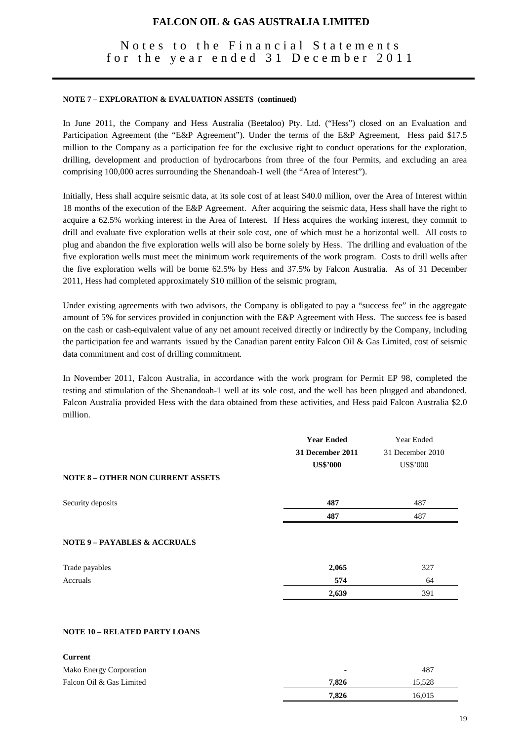Notes to the Financial Statements for the year ended 31 December 2011

#### **NOTE 7 – EXPLORATION & EVALUATION ASSETS (continued)**

In June 2011, the Company and Hess Australia (Beetaloo) Pty. Ltd. ("Hess") closed on an Evaluation and Participation Agreement (the "E&P Agreement"). Under the terms of the E&P Agreement, Hess paid \$17.5 million to the Company as a participation fee for the exclusive right to conduct operations for the exploration, drilling, development and production of hydrocarbons from three of the four Permits, and excluding an area comprising 100,000 acres surrounding the Shenandoah-1 well (the "Area of Interest").

Initially, Hess shall acquire seismic data, at its sole cost of at least \$40.0 million, over the Area of Interest within 18 months of the execution of the E&P Agreement. After acquiring the seismic data, Hess shall have the right to acquire a 62.5% working interest in the Area of Interest. If Hess acquires the working interest, they commit to drill and evaluate five exploration wells at their sole cost, one of which must be a horizontal well. All costs to plug and abandon the five exploration wells will also be borne solely by Hess. The drilling and evaluation of the five exploration wells must meet the minimum work requirements of the work program. Costs to drill wells after the five exploration wells will be borne 62.5% by Hess and 37.5% by Falcon Australia. As of 31 December 2011, Hess had completed approximately \$10 million of the seismic program,

Under existing agreements with two advisors, the Company is obligated to pay a "success fee" in the aggregate amount of 5% for services provided in conjunction with the E&P Agreement with Hess. The success fee is based on the cash or cash-equivalent value of any net amount received directly or indirectly by the Company, including the participation fee and warrants issued by the Canadian parent entity Falcon Oil & Gas Limited, cost of seismic data commitment and cost of drilling commitment.

In November 2011, Falcon Australia, in accordance with the work program for Permit EP 98, completed the testing and stimulation of the Shenandoah-1 well at its sole cost, and the well has been plugged and abandoned. Falcon Australia provided Hess with the data obtained from these activities, and Hess paid Falcon Australia \$2.0 million.

|                                          | <b>Year Ended</b> | Year Ended       |
|------------------------------------------|-------------------|------------------|
|                                          | 31 December 2011  | 31 December 2010 |
|                                          | <b>US\$'000</b>   | US\$'000         |
| <b>NOTE 8 - OTHER NON CURRENT ASSETS</b> |                   |                  |
| Security deposits                        | 487               | 487              |
|                                          | 487               | 487              |
| <b>NOTE 9-PAYABLES &amp; ACCRUALS</b>    |                   |                  |
| Trade payables                           | 2,065             | 327              |
| Accruals                                 | 574               | 64               |
|                                          | 2,639             | 391              |
| <b>NOTE 10 - RELATED PARTY LOANS</b>     |                   |                  |
| <b>Current</b>                           |                   |                  |
| Mako Energy Corporation                  |                   | 487              |
| Falcon Oil & Gas Limited                 | 7,826             | 15,528           |

**7,826** 16,015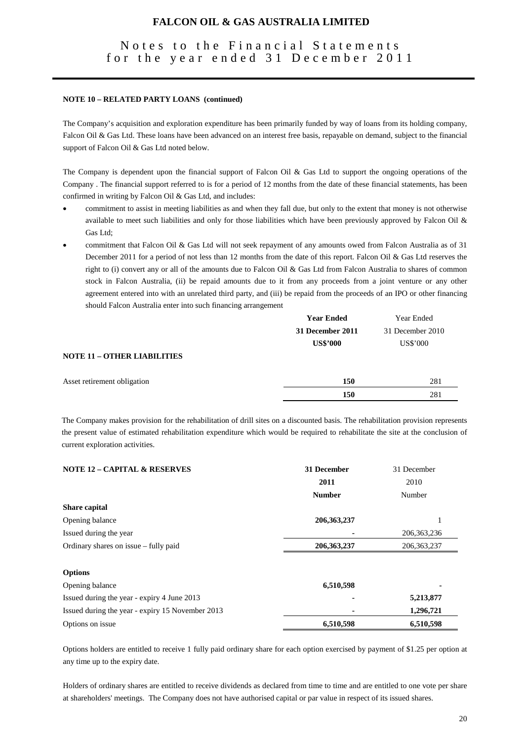## Notes to the Financial Statements for the year ended 31 December 2011

#### **NOTE 10 – RELATED PARTY LOANS (continued)**

The Company's acquisition and exploration expenditure has been primarily funded by way of loans from its holding company, Falcon Oil & Gas Ltd. These loans have been advanced on an interest free basis, repayable on demand, subject to the financial support of Falcon Oil & Gas Ltd noted below.

The Company is dependent upon the financial support of Falcon Oil & Gas Ltd to support the ongoing operations of the Company . The financial support referred to is for a period of 12 months from the date of these financial statements, has been confirmed in writing by Falcon Oil & Gas Ltd, and includes:

- commitment to assist in meeting liabilities as and when they fall due, but only to the extent that money is not otherwise available to meet such liabilities and only for those liabilities which have been previously approved by Falcon Oil & Gas Ltd;
- commitment that Falcon Oil & Gas Ltd will not seek repayment of any amounts owed from Falcon Australia as of 31 December 2011 for a period of not less than 12 months from the date of this report. Falcon Oil & Gas Ltd reserves the right to (i) convert any or all of the amounts due to Falcon Oil & Gas Ltd from Falcon Australia to shares of common stock in Falcon Australia, (ii) be repaid amounts due to it from any proceeds from a joint venture or any other agreement entered into with an unrelated third party, and (iii) be repaid from the proceeds of an IPO or other financing should Falcon Australia enter into such financing arrangement

|                                    | <b>Year Ended</b>                    | Year Ended |
|------------------------------------|--------------------------------------|------------|
|                                    | 31 December 2011<br>31 December 2010 |            |
|                                    | <b>US\$'000</b>                      | US\$'000   |
| <b>NOTE 11 - OTHER LIABILITIES</b> |                                      |            |
| Asset retirement obligation        | 150                                  | 281        |
|                                    | 150                                  | 281        |

The Company makes provision for the rehabilitation of drill sites on a discounted basis. The rehabilitation provision represents the present value of estimated rehabilitation expenditure which would be required to rehabilitate the site at the conclusion of current exploration activities.

| <b>NOTE 12 - CAPITAL &amp; RESERVES</b>          | 31 December   | 31 December   |
|--------------------------------------------------|---------------|---------------|
|                                                  | 2011          | 2010          |
|                                                  | <b>Number</b> | Number        |
| <b>Share capital</b>                             |               |               |
| Opening balance                                  | 206, 363, 237 | 1             |
| Issued during the year                           |               | 206, 363, 236 |
| Ordinary shares on issue – fully paid            | 206, 363, 237 | 206, 363, 237 |
| <b>Options</b>                                   |               |               |
| Opening balance                                  | 6,510,598     |               |
| Issued during the year - expiry 4 June 2013      |               | 5,213,877     |
| Issued during the year - expiry 15 November 2013 |               | 1,296,721     |
| Options on issue                                 | 6,510,598     | 6,510,598     |

Options holders are entitled to receive 1 fully paid ordinary share for each option exercised by payment of \$1.25 per option at any time up to the expiry date.

Holders of ordinary shares are entitled to receive dividends as declared from time to time and are entitled to one vote per share at shareholders' meetings. The Company does not have authorised capital or par value in respect of its issued shares.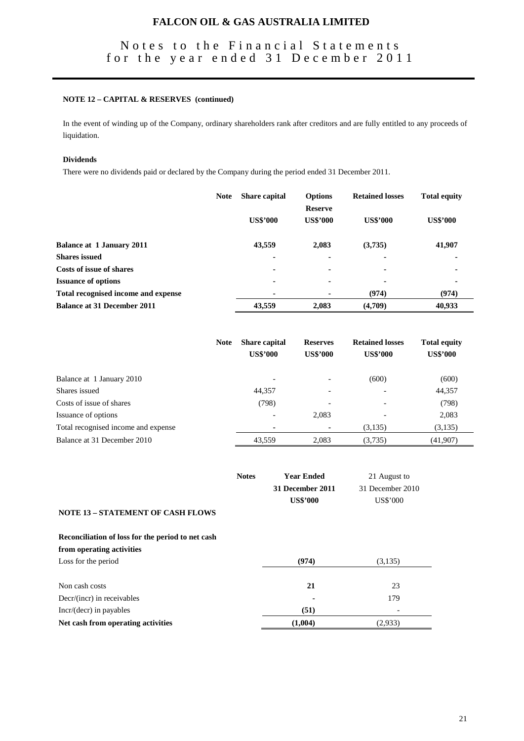# Notes to the Financial Statements for the year ended 31 December 2011

### **NOTE 12 – CAPITAL & RESERVES (continued)**

In the event of winding up of the Company, ordinary shareholders rank after creditors and are fully entitled to any proceeds of liquidation.

### **Dividends**

There were no dividends paid or declared by the Company during the period ended 31 December 2011.

|                                     | <b>Note</b> | <b>Share capital</b> | <b>Options</b><br><b>Reserve</b> | <b>Retained losses</b> | <b>Total equity</b> |
|-------------------------------------|-------------|----------------------|----------------------------------|------------------------|---------------------|
|                                     |             | <b>US\$'000</b>      | <b>US\$'000</b>                  | <b>US\$'000</b>        | <b>US\$'000</b>     |
| <b>Balance at 1 January 2011</b>    |             | 43,559               | 2,083                            | (3,735)                | 41,907              |
| <b>Shares issued</b>                |             | ٠                    | ۰                                |                        |                     |
| <b>Costs of issue of shares</b>     |             | ۰                    | ۰                                | $\blacksquare$         |                     |
| <b>Issuance of options</b>          |             | ٠                    | ۰                                | ٠                      |                     |
| Total recognised income and expense |             | ٠                    | ۰                                | (974)                  | (974)               |
| <b>Balance at 31 December 2011</b>  |             | 43,559               | 2,083                            | (4,709)                | 40,933              |

|                                     | <b>Note</b> | <b>Share capital</b>     | <b>Reserves</b>          | <b>Retained losses</b> | <b>Total equity</b> |  |
|-------------------------------------|-------------|--------------------------|--------------------------|------------------------|---------------------|--|
|                                     |             | <b>US\$'000</b>          | <b>US\$'000</b>          | <b>US\$'000</b>        | <b>US\$'000</b>     |  |
| Balance at 1 January 2010           |             | $\overline{\phantom{0}}$ |                          | (600)                  | (600)               |  |
| Shares issued                       |             | 44,357                   | $\overline{\phantom{0}}$ |                        | 44,357              |  |
| Costs of issue of shares            |             | (798)                    | $\overline{\phantom{0}}$ |                        | (798)               |  |
| Issuance of options                 |             |                          | 2,083                    |                        | 2,083               |  |
| Total recognised income and expense |             | ٠                        |                          | (3,135)                | (3,135)             |  |
| Balance at 31 December 2010         |             | 43.559                   | 2.083                    | (3,735)                | (41, 907)           |  |

|                                                   | <b>Notes</b> | <b>Year Ended</b> | 21 August to     |
|---------------------------------------------------|--------------|-------------------|------------------|
|                                                   |              | 31 December 2011  | 31 December 2010 |
|                                                   |              | <b>US\$'000</b>   | US\$'000         |
| <b>NOTE 13 - STATEMENT OF CASH FLOWS</b>          |              |                   |                  |
| Reconciliation of loss for the period to net cash |              |                   |                  |
| from operating activities                         |              |                   |                  |
| Loss for the period                               |              | (974)             | (3,135)          |
| Non cash costs                                    |              | 21                | 23               |
| $Decr/(incr)$ in receivables                      |              |                   | 179              |
| $Incr/(decr)$ in payables                         |              | (51)              |                  |
| Net cash from operating activities                |              | (1,004)           | (2,933)          |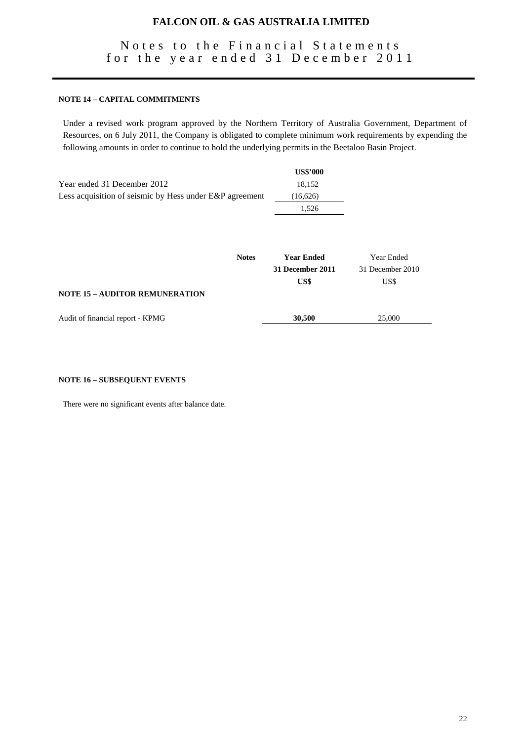# Notes to the Financial Statements for the year ended 31 December 2011

### **NOTE 14 – CAPITAL COMMITMENTS**

Under a revised work program approved by the Northern Territory of Australia Government, Department of Resources, on 6 July 2011, the Company is obligated to complete minimum work requirements by expending the following amounts in order to continue to hold the underlying permits in the Beetaloo Basin Project.

|                                                         | <b>US\$'000</b> |
|---------------------------------------------------------|-----------------|
| Year ended 31 December 2012                             | 18.152          |
| Less acquisition of seismic by Hess under E&P agreement | (16,626)        |
|                                                         | 1.526           |

|                                       | <b>Notes</b> | <b>Year Ended</b> | Year Ended       |  |
|---------------------------------------|--------------|-------------------|------------------|--|
|                                       |              | 31 December 2011  | 31 December 2010 |  |
|                                       |              | US\$              | US\$             |  |
| <b>NOTE 15 - AUDITOR REMUNERATION</b> |              |                   |                  |  |
|                                       |              |                   |                  |  |
| Audit of financial report - KPMG      |              | 30,500            | 25,000           |  |

### **NOTE 16 – SUBSEQUENT EVENTS**

There were no significant events after balance date.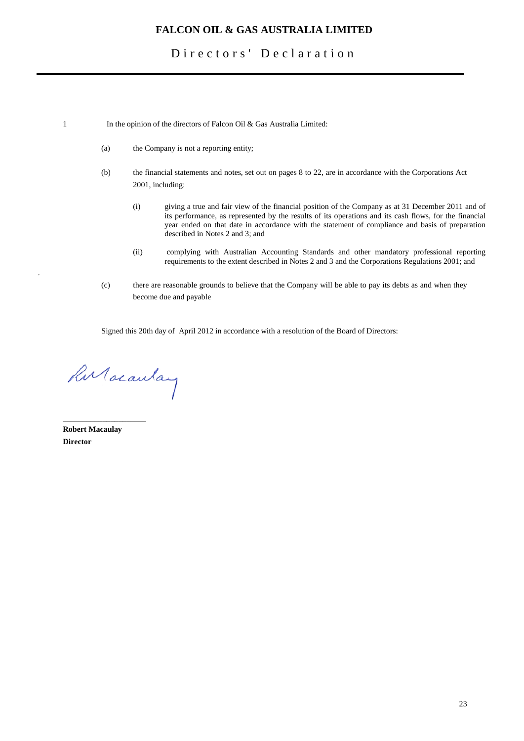Directors' Declaration

1 In the opinion of the directors of Falcon Oil & Gas Australia Limited:

- (a) the Company is not a reporting entity;
- (b) the financial statements and notes, set out on pages 8 to 22, are in accordance with the Corporations Act 2001, including:
	- (i) giving a true and fair view of the financial position of the Company as at 31 December 2011 and of its performance, as represented by the results of its operations and its cash flows, for the financial year ended on that date in accordance with the statement of compliance and basis of preparation described in Notes 2 and 3; and
	- (ii) complying with Australian Accounting Standards and other mandatory professional reporting requirements to the extent described in Notes 2 and 3 and the Corporations Regulations 2001; and
- (c) there are reasonable grounds to believe that the Company will be able to pay its debts as and when they become due and payable

Signed this 20th day of April 2012 in accordance with a resolution of the Board of Directors:

Rutocaulay

**Robert Macaulay Director**

**\_\_\_\_\_\_\_\_\_\_\_\_\_\_\_\_\_\_\_\_\_**

.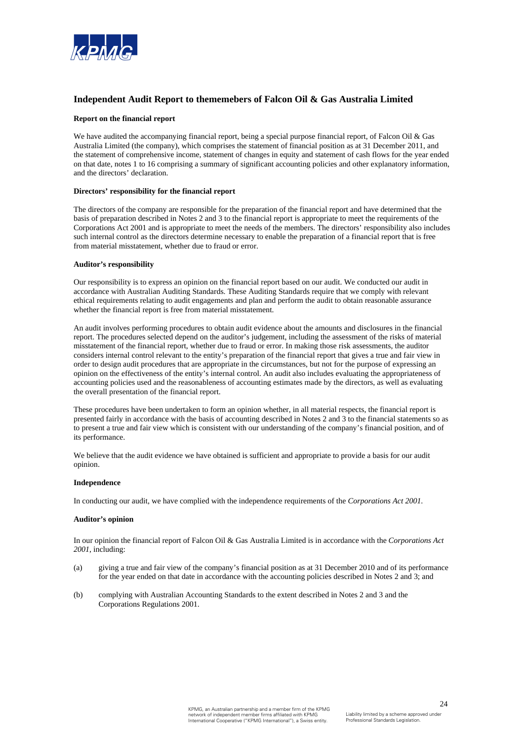

### **Independent Audit Report to thememebers of Falcon Oil & Gas Australia Limited**

#### **Report on the financial report**

We have audited the accompanying financial report, being a special purpose financial report, of Falcon Oil & Gas Australia Limited (the company), which comprises the statement of financial position as at 31 December 2011, and the statement of comprehensive income, statement of changes in equity and statement of cash flows for the year ended on that date, notes 1 to 16 comprising a summary of significant accounting policies and other explanatory information, and the directors' declaration.

#### **Directors' responsibility for the financial report**

The directors of the company are responsible for the preparation of the financial report and have determined that the basis of preparation described in Notes 2 and 3 to the financial report is appropriate to meet the requirements of the Corporations Act 2001 and is appropriate to meet the needs of the members. The directors' responsibility also includes such internal control as the directors determine necessary to enable the preparation of a financial report that is free from material misstatement, whether due to fraud or error.

#### **Auditor's responsibility**

Our responsibility is to express an opinion on the financial report based on our audit. We conducted our audit in accordance with Australian Auditing Standards. These Auditing Standards require that we comply with relevant ethical requirements relating to audit engagements and plan and perform the audit to obtain reasonable assurance whether the financial report is free from material misstatement.

An audit involves performing procedures to obtain audit evidence about the amounts and disclosures in the financial report. The procedures selected depend on the auditor's judgement, including the assessment of the risks of material misstatement of the financial report, whether due to fraud or error. In making those risk assessments, the auditor considers internal control relevant to the entity's preparation of the financial report that gives a true and fair view in order to design audit procedures that are appropriate in the circumstances, but not for the purpose of expressing an opinion on the effectiveness of the entity's internal control. An audit also includes evaluating the appropriateness of accounting policies used and the reasonableness of accounting estimates made by the directors, as well as evaluating the overall presentation of the financial report.

These procedures have been undertaken to form an opinion whether, in all material respects, the financial report is presented fairly in accordance with the basis of accounting described in Notes 2 and 3 to the financial statements so as to present a true and fair view which is consistent with our understanding of the company's financial position, and of its performance.

We believe that the audit evidence we have obtained is sufficient and appropriate to provide a basis for our audit opinion.

#### **Independence**

In conducting our audit, we have complied with the independence requirements of the *Corporations Act 2001*.

#### **Auditor's opinion**

In our opinion the financial report of Falcon Oil & Gas Australia Limited is in accordance with the *Corporations Act 2001*, including:

- (a) giving a true and fair view of the company's financial position as at 31 December 2010 and of its performance for the year ended on that date in accordance with the accounting policies described in Notes 2 and 3; and
- (b) complying with Australian Accounting Standards to the extent described in Notes 2 and 3 and the Corporations Regulations 2001.